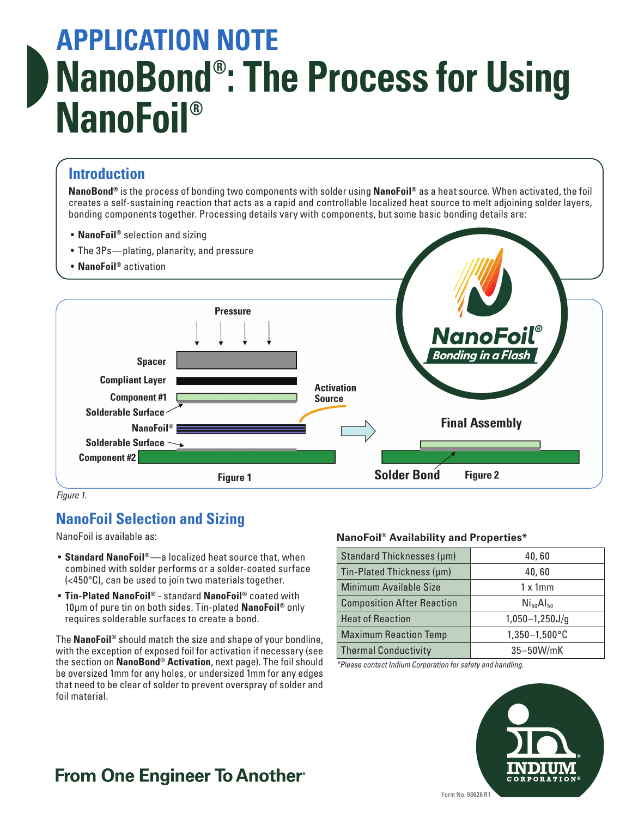# **APPLICATION NOTE NanoBond® : The Process for Using NanoFoil®**

### **Introduction**

**NanoBond®** is the process of bonding two components with solder using **NanoFoil®** as a heat source. When activated, the foil creates a self-sustaining reaction that acts as a rapid and controllable localized heat source to melt adjoining solder layers, bonding components together. Processing details vary with components, but some basic bonding details are:

- **NanoFoil®** selection and sizing
- The 3Ps—plating, planarity, and pressure
- **NanoFoil®** activation



*Figure 1.*

## **NanoFoil Selection and Sizing**

NanoFoil is available as:

- **Standard NanoFoil®**—a localized heat source that, when combined with solder performs or a solder-coated surface (<450ºC), can be used to join two materials together.
- **Tin-Plated NanoFoil®** standard **NanoFoil®** coated with 10μm of pure tin on both sides. Tin-plated **NanoFoil®** only requires solderable surfaces to create a bond.

The **NanoFoil®** should match the size and shape of your bondline, with the exception of exposed foil for activation if necessary (see the section on **NanoBond® Activation**, next page). The foil should be oversized 1mm for any holes, or undersized 1mm for any edges that need to be clear of solder to prevent overspray of solder and foil material.

#### **NanoFoil® Availability and Properties\***

| Standard Thicknesses (µm)                               | 40,60                       |  |
|---------------------------------------------------------|-----------------------------|--|
| Tin-Plated Thickness (µm)                               | 40,60                       |  |
| <b>Minimum Available Size</b>                           | $1 \times 1$ mm             |  |
| <b>Composition After Reaction</b>                       | $N$ <sub>50</sub> $Al_{50}$ |  |
| <b>Heat of Reaction</b>                                 | $1,050-1,250J/g$            |  |
| $1,350-1,500^{\circ}$ C<br><b>Maximum Reaction Temp</b> |                             |  |
| <b>Thermal Conductivity</b>                             | $35-50W/mK$                 |  |

*\*Please contact Indium Corporation for safety and handling.*



## **From One Engineer To Another**